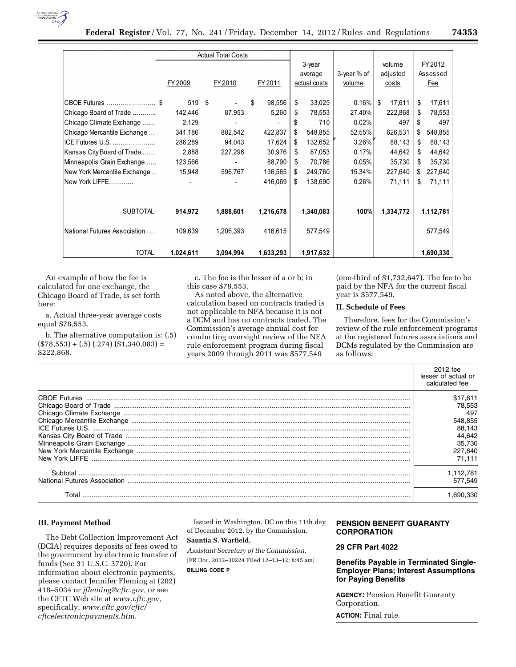

|                              |           | <b>Actual Total Costs</b> |              |               |             |              |               |
|------------------------------|-----------|---------------------------|--------------|---------------|-------------|--------------|---------------|
|                              |           |                           |              | $3$ -year     |             | volume       | FY 2012       |
|                              |           |                           |              | average       | 3-year % of | adjusted     | Assessed      |
|                              | FY 2009   | FY 2010                   | FY 2011      | actual costs  | volume      | costs        | Fee           |
| CBOE Futures  \$             | 519       | -\$                       | \$<br>98,556 | 33,025<br>\$  | 0.16%       | \$<br>17,611 | \$<br>17,611  |
| Chicago Board of Trade       | 142,446   | 87,953                    | 5,260        | 78,553<br>S   | 27.40%      | 222,868      | 78,553<br>S   |
| Chicago Climate Exchange     | 2,129     |                           |              | \$<br>710     | 0.02%       | 497          | \$<br>497     |
| Chicago Mercantile Exchange  | 341,186   | 882,542                   | 422,837      | \$<br>548,855 | 52.55%      | 626,531      | 548,855<br>\$ |
| ICE Futures U.S.             | 286,289   | 94,043                    | 17,624       | 132,652<br>\$ | 3.26%       | 88,143       | 88,143<br>\$  |
| Kansas City Board of Trade   | 2,888     | 227,296                   | 30,976       | 87,053<br>\$. | 0.17%       | 44,642       | 44,642<br>\$  |
| Minneapolis Grain Exchange   | 123,566   |                           | 88,790       | 70,786<br>\$. | 0.05%       | 35,730       | \$<br>35,730  |
| New York Mercantile Exchange | 15,948    | 596,767                   | 136,565      | 249,760<br>S  | 15.34%      | 227,640      | 227,640<br>S. |
| New York LIFFE               |           |                           | 416,069      | \$<br>138,690 | 0.26%       | 71,111       | \$<br>71,111  |
|                              |           |                           |              |               |             |              |               |
| <b>SUBTOTAL</b>              | 914,972   | 1,888,601                 | 1,216,678    | 1,340,083     | 100%l       | 1,334,772    | 1,112,781     |
| National Futures Association | 109,639   | 1,206,393                 | 416,615      | 577,549       |             |              | 577,549       |
| <b>TOTAL</b>                 | 1,024,611 | 3,094,994                 | 1,633,293    | 1,917,632     |             |              | 1,690,330     |

An example of how the fee is calculated for one exchange, the Chicago Board of Trade, is set forth here:

a. Actual three-year average costs equal \$78,553.

b. The alternative computation is: (.5)  $($78,553) + (.5) (.274) ($1,340,083) =$ \$222,868.

c. The fee is the lesser of a or b; in this case \$78,553.

As noted above, the alternative calculation based on contracts traded is not applicable to NFA because it is not a DCM and has no contracts traded. The Commission's average annual cost for conducting oversight review of the NFA rule enforcement program during fiscal years 2009 through 2011 was \$577,549

(one-third of \$1,732,647). The fee to be paid by the NFA for the current fiscal year is \$577,549.

## **II. Schedule of Fees**

Therefore, fees for the Commission's review of the rule enforcement programs at the registered futures associations and DCMs regulated by the Commission are as follows:

|                                                                                        | 2012 fee<br>lesser of actual or<br>calculated fee |
|----------------------------------------------------------------------------------------|---------------------------------------------------|
|                                                                                        | \$17.611<br>78.553                                |
| Chicago Climate Exchange<br>Chicago Mercantile Exchange<br>Chicago Mercantile Exchange | 497                                               |
|                                                                                        | 548.855                                           |
|                                                                                        | 88.143                                            |
|                                                                                        | 44.642                                            |
|                                                                                        | 35.730                                            |
|                                                                                        | 227.640                                           |
| New York LIFFE                                                                         | 71.111                                            |
|                                                                                        | 1.112,781                                         |
|                                                                                        | 577.549                                           |
| Total                                                                                  |                                                   |

## **III. Payment Method**

The Debt Collection Improvement Act (DCIA) requires deposits of fees owed to the government by electronic transfer of funds (See 31 U.S.C. 3720). For information about electronic payments, please contact Jennifer Fleming at (202) 418–5034 or *jfleming@cftc.gov,* or see the CFTC Web site at *www.cftc.gov,*  specifically, *www.cftc.gov/cftc/ cftcelectronicpayments.htm.* 

Issued in Washington, DC on this 11th day of December 2012, by the Commission.

# **Sauntia S. Warfield,**

*Assistant Secretary of the Commission.*  [FR Doc. 2012–30224 Filed 12–13–12; 8:45 am] **BILLING CODE P** 

# **PENSION BENEFIT GUARANTY CORPORATION**

## **29 CFR Part 4022**

## **Benefits Payable in Terminated Single-Employer Plans; Interest Assumptions for Paying Benefits**

**AGENCY:** Pension Benefit Guaranty Corporation.

**ACTION:** Final rule.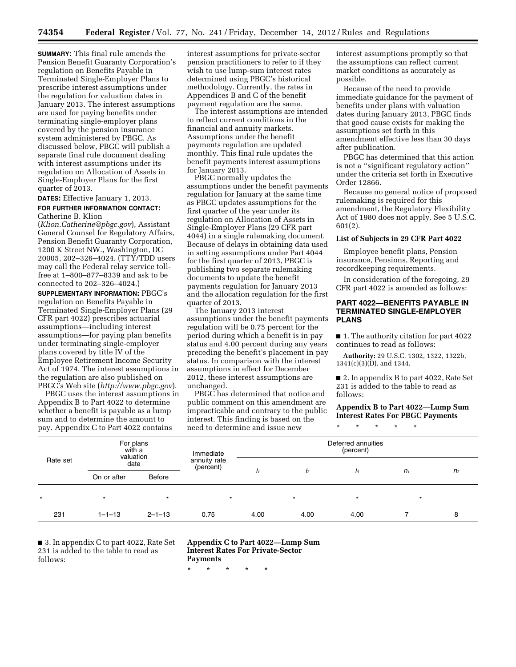**SUMMARY:** This final rule amends the Pension Benefit Guaranty Corporation's regulation on Benefits Payable in Terminated Single-Employer Plans to prescribe interest assumptions under the regulation for valuation dates in January 2013. The interest assumptions are used for paying benefits under terminating single-employer plans covered by the pension insurance system administered by PBGC. As discussed below, PBGC will publish a separate final rule document dealing with interest assumptions under its regulation on Allocation of Assets in Single-Employer Plans for the first quarter of 2013.

## **DATES:** Effective January 1, 2013.

#### **FOR FURTHER INFORMATION CONTACT:**  Catherine B. Klion

(*Klion.Catherine@pbgc.gov*), Assistant General Counsel for Regulatory Affairs, Pension Benefit Guaranty Corporation, 1200 K Street NW., Washington, DC 20005, 202–326–4024. (TTY/TDD users may call the Federal relay service tollfree at 1–800–877–8339 and ask to be connected to 202–326–4024.)

**SUPPLEMENTARY INFORMATION:** PBGC's regulation on Benefits Payable in Terminated Single-Employer Plans (29 CFR part 4022) prescribes actuarial assumptions—including interest assumptions—for paying plan benefits under terminating single-employer plans covered by title IV of the Employee Retirement Income Security Act of 1974. The interest assumptions in the regulation are also published on PBGC's Web site (*http://www.pbgc.gov*).

PBGC uses the interest assumptions in Appendix B to Part 4022 to determine whether a benefit is payable as a lump sum and to determine the amount to pay. Appendix C to Part 4022 contains

interest assumptions for private-sector pension practitioners to refer to if they wish to use lump-sum interest rates determined using PBGC's historical methodology. Currently, the rates in Appendices B and C of the benefit payment regulation are the same.

The interest assumptions are intended to reflect current conditions in the financial and annuity markets. Assumptions under the benefit payments regulation are updated monthly. This final rule updates the benefit payments interest assumptions for January 2013.

PBGC normally updates the assumptions under the benefit payments regulation for January at the same time as PBGC updates assumptions for the first quarter of the year under its regulation on Allocation of Assets in Single-Employer Plans (29 CFR part 4044) in a single rulemaking document. Because of delays in obtaining data used in setting assumptions under Part 4044 for the first quarter of 2013, PBGC is publishing two separate rulemaking documents to update the benefit payments regulation for January 2013 and the allocation regulation for the first quarter of 2013.

The January 2013 interest assumptions under the benefit payments regulation will be 0.75 percent for the period during which a benefit is in pay status and 4.00 percent during any years preceding the benefit's placement in pay status. In comparison with the interest assumptions in effect for December 2012, these interest assumptions are unchanged.

PBGC has determined that notice and public comment on this amendment are impracticable and contrary to the public interest. This finding is based on the need to determine and issue new

interest assumptions promptly so that the assumptions can reflect current market conditions as accurately as possible.

Because of the need to provide immediate guidance for the payment of benefits under plans with valuation dates during January 2013, PBGC finds that good cause exists for making the assumptions set forth in this amendment effective less than 30 days after publication.

PBGC has determined that this action is not a ''significant regulatory action'' under the criteria set forth in Executive Order 12866.

Because no general notice of proposed rulemaking is required for this amendment, the Regulatory Flexibility Act of 1980 does not apply. See 5 U.S.C. 601(2).

#### **List of Subjects in 29 CFR Part 4022**

Employee benefit plans, Pension insurance, Pensions, Reporting and recordkeeping requirements.

In consideration of the foregoing, 29 CFR part 4022 is amended as follows:

## **PART 4022—BENEFITS PAYABLE IN TERMINATED SINGLE-EMPLOYER PLANS**

■ 1. The authority citation for part 4022 continues to read as follows:

**Authority:** 29 U.S.C. 1302, 1322, 1322b, 1341(c)(3)(D), and 1344.

■ 2. In appendix B to part 4022, Rate Set 231 is added to the table to read as follows:

## **Appendix B to Part 4022—Lump Sum Interest Rates For PBGC Payments**

\* \* \* \* \*

| Rate set | For plans<br>with a<br>valuation<br>date |              | Immediate<br>annuity rate<br>(percent) | Deferred annuities<br>(percent) |                |         |                |                |  |
|----------|------------------------------------------|--------------|----------------------------------------|---------------------------------|----------------|---------|----------------|----------------|--|
|          |                                          |              |                                        |                                 |                |         |                |                |  |
|          | On or after                              | Before       |                                        |                                 | I <sub>2</sub> | $l_3$   | n <sub>I</sub> | n <sub>2</sub> |  |
| $\star$  | $\star$                                  | $\star$      | $\star$                                |                                 | $\star$        | $\star$ | $\star$        |                |  |
| 231      | $1 - 1 - 13$                             | $2 - 1 - 13$ | 0.75                                   | 4.00                            | 4.00           | 4.00    |                | 8              |  |

■ 3. In appendix C to part 4022, Rate Set 231 is added to the table to read as follows:

**Appendix C to Part 4022—Lump Sum Interest Rates For Private-Sector Payments** 

\* \* \* \* \*